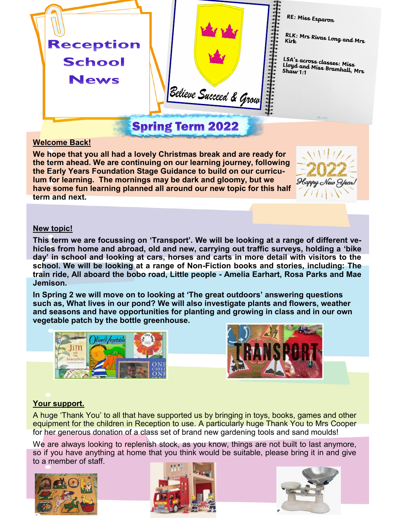

### **Welcome Back!**

**We hope that you all had a lovely Christmas break and are ready for the term ahead. We are continuing on our learning journey, following the Early Years Foundation Stage Guidance to build on our curriculum for learning. The mornings may be dark and gloomy, but we have some fun learning planned all around our new topic for this half term and next.** 



#### **New topic!**

**This term we are focussing on 'Transport'. We will be looking at a range of different vehicles from home and abroad, old and new, carrying out traffic surveys, holding a 'bike day' in school and looking at cars, horses and carts in more detail with visitors to the school. We will be looking at a range of Non-Fiction books and stories, including: The train ride, All aboard the bobo road, Little people - Amelia Earhart, Rosa Parks and Mae Jemison.**

**In Spring 2 we will move on to looking at 'The great outdoors' answering questions such as, What lives in our pond? We will also investigate plants and flowers, weather and seasons and have opportunities for planting and growing in class and in our own vegetable patch by the bottle greenhouse.** 





## **Your support.**

A huge 'Thank You' to all that have supported us by bringing in toys, books, games and other equipment for the children in Reception to use. A particularly huge Thank You to Mrs Cooper for her generous donation of a class set of brand new gardening tools and sand moulds!

We are always looking to replenish stock, as you know, things are not built to last anymore, so if you have anything at home that you think would be suitable, please bring it in and give to a member of staff.